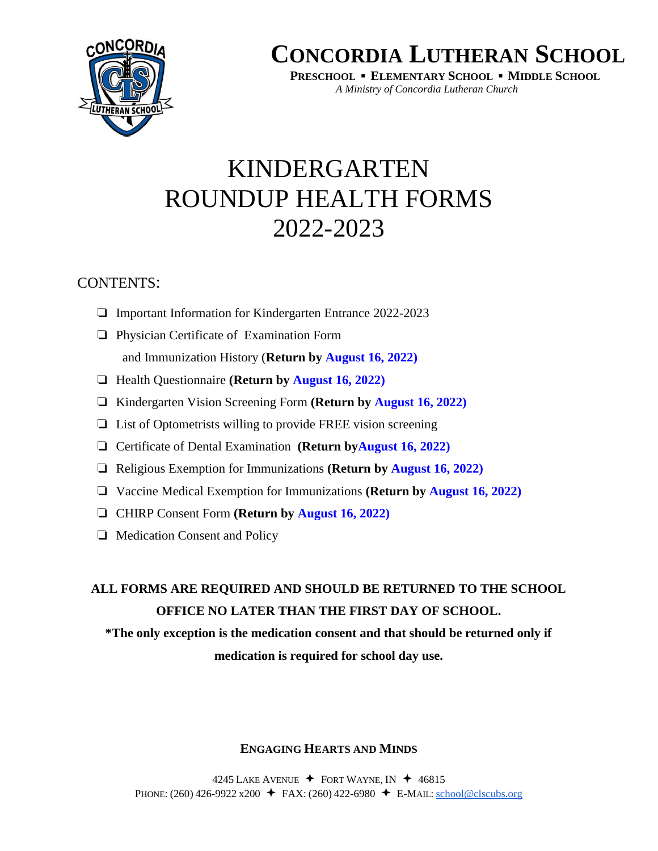

**PRESCHOOL ▪ ELEMENTARY SCHOOL ▪ MIDDLE SCHOOL** *A Ministry of Concordia Lutheran Church*

# KINDERGARTEN ROUNDUP HEALTH FORMS 2022-2023

## CONTENTS:

- ❏ Important Information for Kindergarten Entrance 2022-2023
- ❏ Physician Certificate of Examination Form and Immunization History (**Return by August 16, 2022)**
- ❏ Health Questionnaire **(Return by August 16, 2022)**
- ❏ Kindergarten Vision Screening Form **(Return by August 16, 2022)**
- ❏ List of Optometrists willing to provide FREE vision screening
- ❏ Certificate of Dental Examination **(Return byAugust 16, 2022)**
- ❏ Religious Exemption for Immunizations **(Return by August 16, 2022)**
- ❏ Vaccine Medical Exemption for Immunizations **(Return by August 16, 2022)**
- ❏ CHIRP Consent Form **(Return by August 16, 2022)**
- ❏ Medication Consent and Policy

## **ALL FORMS ARE REQUIRED AND SHOULD BE RETURNED TO THE SCHOOL OFFICE NO LATER THAN THE FIRST DAY OF SCHOOL.**

**\*The only exception is the medication consent and that should be returned only if medication is required for school day use.**

### **ENGAGING HEARTS AND MINDS**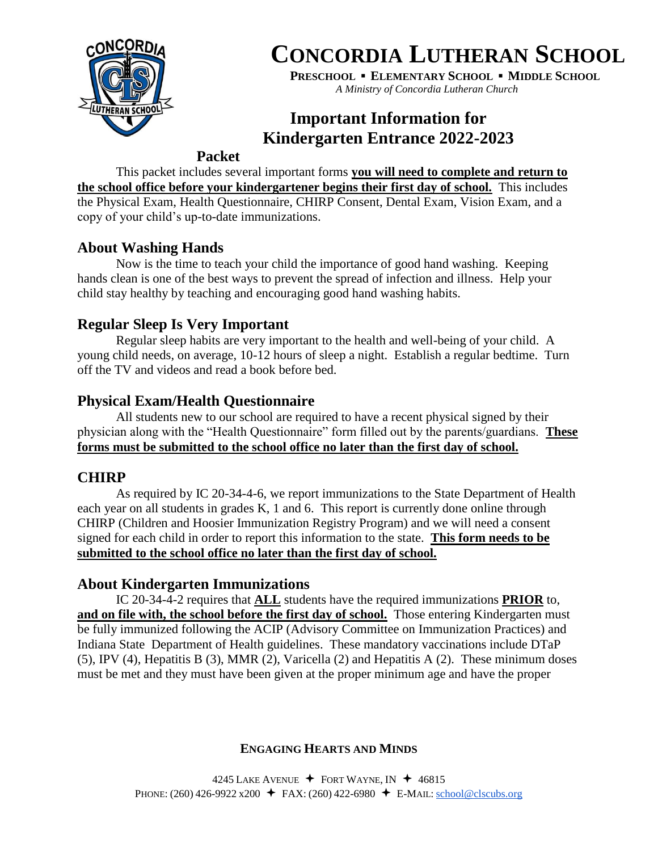

**PRESCHOOL ▪ ELEMENTARY SCHOOL ▪ MIDDLE SCHOOL** *A Ministry of Concordia Lutheran Church*

## **Important Information for Kindergarten Entrance 2022-2023**

### **Packet**

This packet includes several important forms **you will need to complete and return to the school office before your kindergartener begins their first day of school.** This includes the Physical Exam, Health Questionnaire, CHIRP Consent, Dental Exam, Vision Exam, and a copy of your child's up-to-date immunizations.

## **About Washing Hands**

Now is the time to teach your child the importance of good hand washing. Keeping hands clean is one of the best ways to prevent the spread of infection and illness. Help your child stay healthy by teaching and encouraging good hand washing habits.

## **Regular Sleep Is Very Important**

Regular sleep habits are very important to the health and well-being of your child. A young child needs, on average, 10-12 hours of sleep a night. Establish a regular bedtime. Turn off the TV and videos and read a book before bed.

## **Physical Exam/Health Questionnaire**

All students new to our school are required to have a recent physical signed by their physician along with the "Health Questionnaire" form filled out by the parents/guardians. **These forms must be submitted to the school office no later than the first day of school.** 

## **CHIRP**

As required by IC 20-34-4-6, we report immunizations to the State Department of Health each year on all students in grades K, 1 and 6. This report is currently done online through CHIRP (Children and Hoosier Immunization Registry Program) and we will need a consent signed for each child in order to report this information to the state. **This form needs to be submitted to the school office no later than the first day of school.** 

## **About Kindergarten Immunizations**

IC 20-34-4-2 requires that **ALL** students have the required immunizations **PRIOR** to, and on file with, the school before the first day of school. Those entering Kindergarten must be fully immunized following the ACIP (Advisory Committee on Immunization Practices) and Indiana State Department of Health guidelines. These mandatory vaccinations include DTaP (5), IPV (4), Hepatitis B (3), MMR (2), Varicella (2) and Hepatitis A (2). These minimum doses must be met and they must have been given at the proper minimum age and have the proper

### **ENGAGING HEARTS AND MINDS**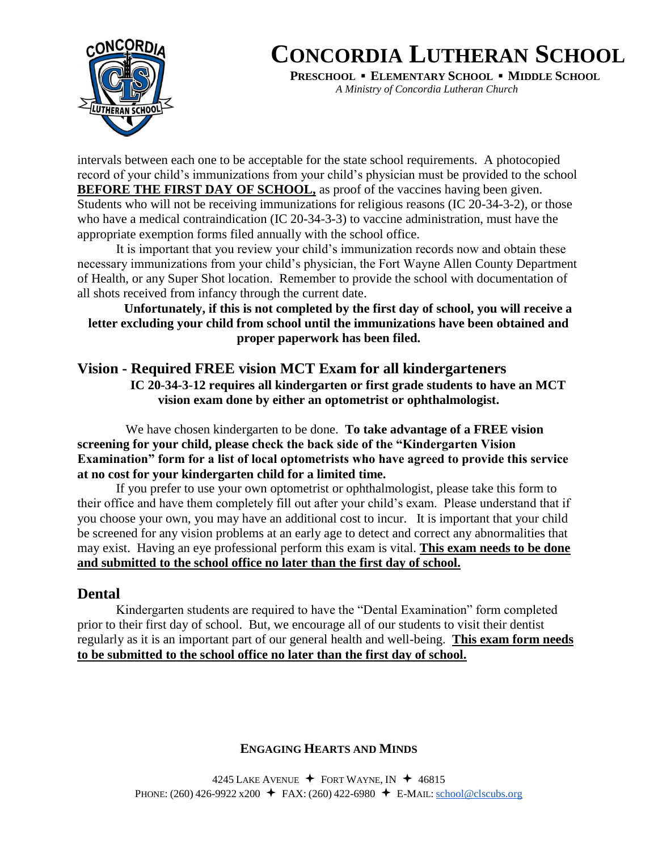

**PRESCHOOL ▪ ELEMENTARY SCHOOL ▪ MIDDLE SCHOOL**

*A Ministry of Concordia Lutheran Church*

intervals between each one to be acceptable for the state school requirements. A photocopied record of your child's immunizations from your child's physician must be provided to the school **BEFORE THE FIRST DAY OF SCHOOL, as proof of the vaccines having been given.** Students who will not be receiving immunizations for religious reasons (IC 20-34-3-2), or those who have a medical contraindication (IC 20-34-3-3) to vaccine administration, must have the appropriate exemption forms filed annually with the school office.

It is important that you review your child's immunization records now and obtain these necessary immunizations from your child's physician, the Fort Wayne Allen County Department of Health, or any Super Shot location. Remember to provide the school with documentation of all shots received from infancy through the current date.

### **Unfortunately, if this is not completed by the first day of school, you will receive a letter excluding your child from school until the immunizations have been obtained and proper paperwork has been filed.**

### **Vision - Required FREE vision MCT Exam for all kindergarteners IC 20-34-3-12 requires all kindergarten or first grade students to have an MCT vision exam done by either an optometrist or ophthalmologist.**

 We have chosen kindergarten to be done. **To take advantage of a FREE vision screening for your child, please check the back side of the "Kindergarten Vision Examination" form for a list of local optometrists who have agreed to provide this service at no cost for your kindergarten child for a limited time.** 

If you prefer to use your own optometrist or ophthalmologist, please take this form to their office and have them completely fill out after your child's exam. Please understand that if you choose your own, you may have an additional cost to incur. It is important that your child be screened for any vision problems at an early age to detect and correct any abnormalities that may exist. Having an eye professional perform this exam is vital. **This exam needs to be done and submitted to the school office no later than the first day of school.** 

## **Dental**

Kindergarten students are required to have the "Dental Examination" form completed prior to their first day of school. But, we encourage all of our students to visit their dentist regularly as it is an important part of our general health and well-being. **This exam form needs to be submitted to the school office no later than the first day of school.** 

### **ENGAGING HEARTS AND MINDS**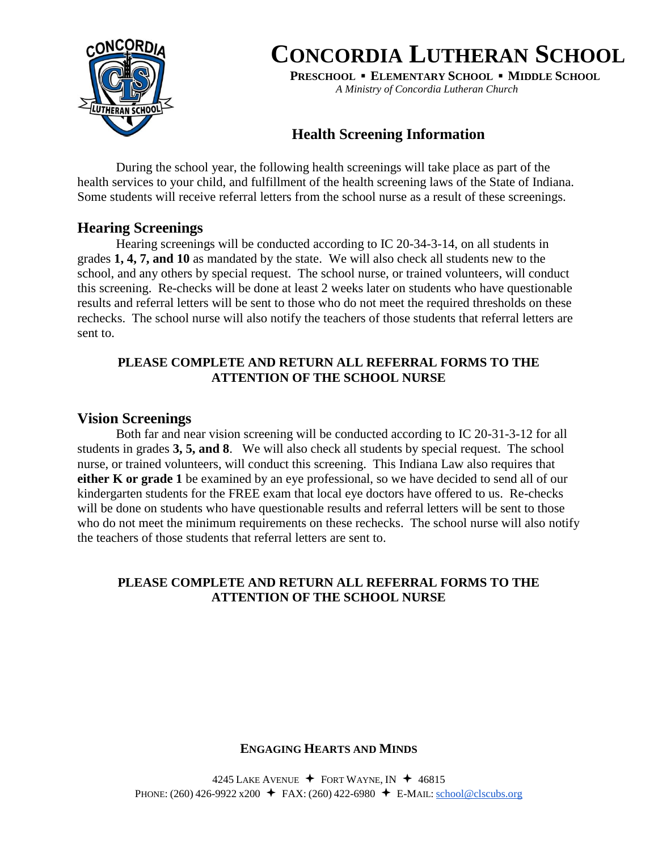

**PRESCHOOL ▪ ELEMENTARY SCHOOL ▪ MIDDLE SCHOOL** *A Ministry of Concordia Lutheran Church*

**Health Screening Information**

During the school year, the following health screenings will take place as part of the health services to your child, and fulfillment of the health screening laws of the State of Indiana. Some students will receive referral letters from the school nurse as a result of these screenings.

### **Hearing Screenings**

Hearing screenings will be conducted according to IC 20-34-3-14, on all students in grades **1, 4, 7, and 10** as mandated by the state. We will also check all students new to the school, and any others by special request. The school nurse, or trained volunteers, will conduct this screening. Re-checks will be done at least 2 weeks later on students who have questionable results and referral letters will be sent to those who do not meet the required thresholds on these rechecks. The school nurse will also notify the teachers of those students that referral letters are sent to.

### **PLEASE COMPLETE AND RETURN ALL REFERRAL FORMS TO THE ATTENTION OF THE SCHOOL NURSE**

### **Vision Screenings**

Both far and near vision screening will be conducted according to IC 20-31-3-12 for all students in grades **3, 5, and 8**. We will also check all students by special request. The school nurse, or trained volunteers, will conduct this screening. This Indiana Law also requires that **either K or grade 1** be examined by an eye professional, so we have decided to send all of our kindergarten students for the FREE exam that local eye doctors have offered to us. Re-checks will be done on students who have questionable results and referral letters will be sent to those who do not meet the minimum requirements on these rechecks. The school nurse will also notify the teachers of those students that referral letters are sent to.

### **PLEASE COMPLETE AND RETURN ALL REFERRAL FORMS TO THE ATTENTION OF THE SCHOOL NURSE**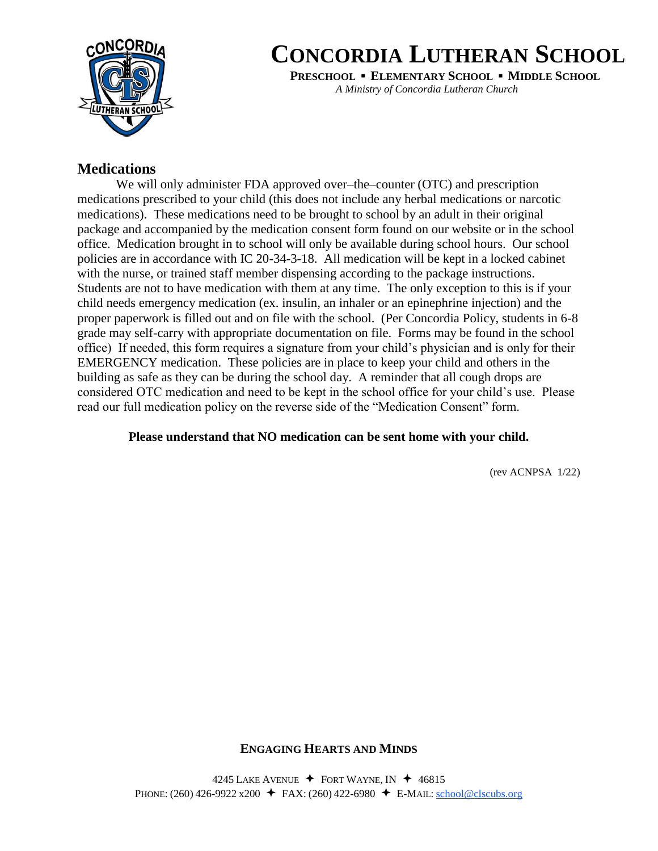

**PRESCHOOL ▪ ELEMENTARY SCHOOL ▪ MIDDLE SCHOOL**

*A Ministry of Concordia Lutheran Church*

### **Medications**

We will only administer FDA approved over–the–counter (OTC) and prescription medications prescribed to your child (this does not include any herbal medications or narcotic medications). These medications need to be brought to school by an adult in their original package and accompanied by the medication consent form found on our website or in the school office. Medication brought in to school will only be available during school hours. Our school policies are in accordance with IC 20-34-3-18. All medication will be kept in a locked cabinet with the nurse, or trained staff member dispensing according to the package instructions. Students are not to have medication with them at any time. The only exception to this is if your child needs emergency medication (ex. insulin, an inhaler or an epinephrine injection) and the proper paperwork is filled out and on file with the school. (Per Concordia Policy, students in 6-8 grade may self-carry with appropriate documentation on file. Forms may be found in the school office) If needed, this form requires a signature from your child's physician and is only for their EMERGENCY medication. These policies are in place to keep your child and others in the building as safe as they can be during the school day. A reminder that all cough drops are considered OTC medication and need to be kept in the school office for your child's use. Please read our full medication policy on the reverse side of the "Medication Consent" form.

### **Please understand that NO medication can be sent home with your child.**

(rev ACNPSA 1/22)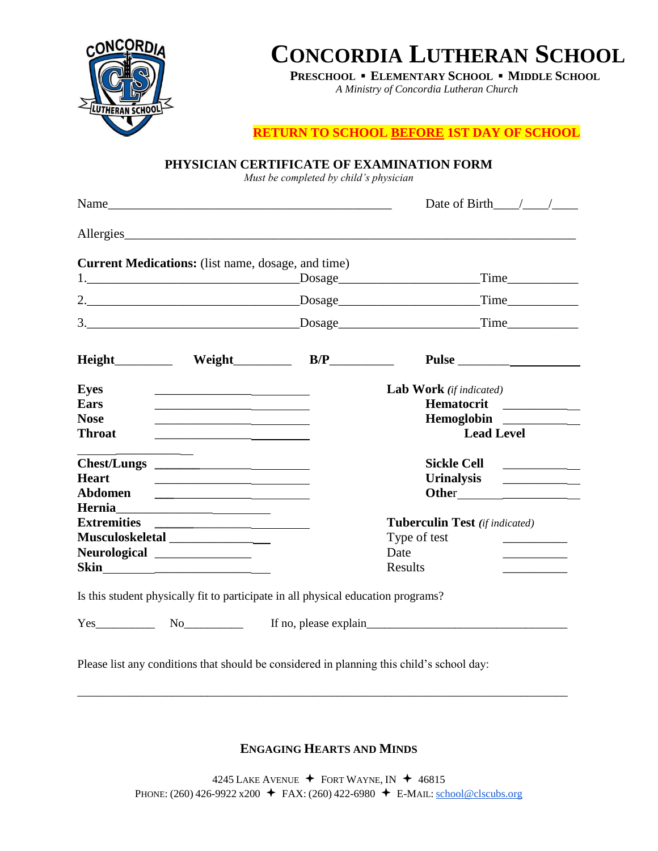

**PRESCHOOL ▪ ELEMENTARY SCHOOL ▪ MIDDLE SCHOOL**

*A Ministry of Concordia Lutheran Church*

**RETURN TO SCHOOL BEFORE 1ST DAY OF SCHOOL**

| Name                                                                                   | Date of Birth $\_\_\_\_\_\_\_\_\_\_\$                                                                                                     |
|----------------------------------------------------------------------------------------|-------------------------------------------------------------------------------------------------------------------------------------------|
| Allergies                                                                              |                                                                                                                                           |
| Current Medications: (list name, dosage, and time)                                     |                                                                                                                                           |
|                                                                                        | Time                                                                                                                                      |
|                                                                                        | Time                                                                                                                                      |
|                                                                                        |                                                                                                                                           |
| $Height \qquad \qquad \text{Weight} \qquad \qquad \text{B/P} \qquad \qquad \text{---}$ | Pulse                                                                                                                                     |
| <b>Eyes</b>                                                                            | <b>Lab Work</b> (if indicated)                                                                                                            |
| Ears                                                                                   | Hematocrit                                                                                                                                |
| <b>Nose</b>                                                                            | Hemoglobin                                                                                                                                |
| <b>Throat</b>                                                                          | <b>Lead Level</b>                                                                                                                         |
|                                                                                        | <b>Sickle Cell</b><br><u> 1999 - Jan Jawa Barat, prima pro</u>                                                                            |
| <b>Heart</b>                                                                           | <b>Urinalysis</b><br><u> 1989 - Andrea Albert III, politik a postal de la provincia de la provincia de la provincia de la provincia d</u> |
|                                                                                        |                                                                                                                                           |
| Extremities                                                                            | <b>Tuberculin Test</b> (if indicated)                                                                                                     |
| Musculoskeletal _________________                                                      | Type of test                                                                                                                              |
| Neurological ______________                                                            | Date                                                                                                                                      |
|                                                                                        | Results<br><u> 1989 - John Stone</u>                                                                                                      |
| Is this student physically fit to participate in all physical education programs?      |                                                                                                                                           |
|                                                                                        | Yes No No If no, please explain No No No No. 1991                                                                                         |

**PHYSICIAN CERTIFICATE OF EXAMINATION FORM**

**ENGAGING HEARTS AND MINDS**

\_\_\_\_\_\_\_\_\_\_\_\_\_\_\_\_\_\_\_\_\_\_\_\_\_\_\_\_\_\_\_\_\_\_\_\_\_\_\_\_\_\_\_\_\_\_\_\_\_\_\_\_\_\_\_\_\_\_\_\_\_\_\_\_\_\_\_\_\_\_\_\_\_\_\_\_\_\_\_\_\_\_\_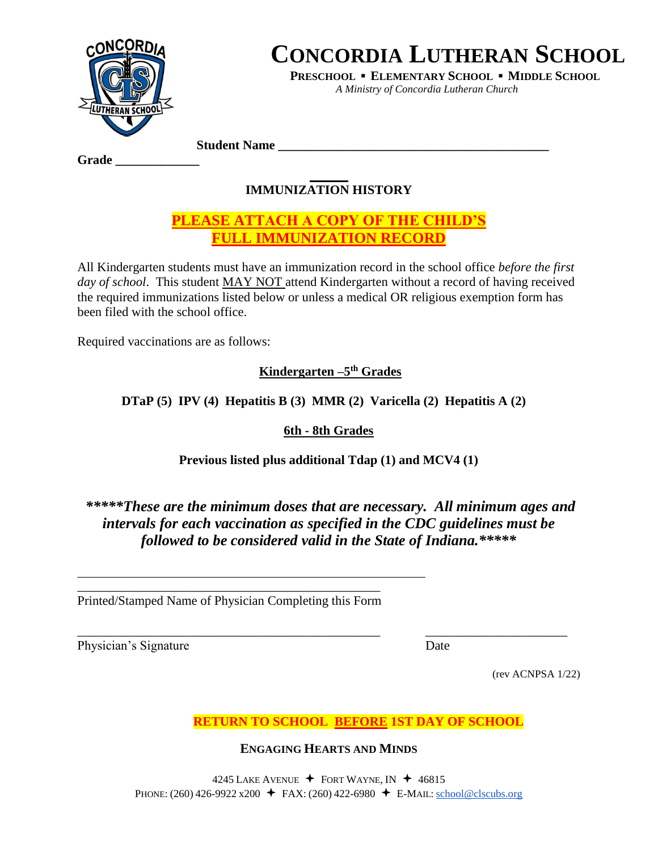

**PRESCHOOL ▪ ELEMENTARY SCHOOL ▪ MIDDLE SCHOOL** *A Ministry of Concordia Lutheran Church*

**Student Name \_\_\_\_\_\_\_\_\_\_\_\_\_\_\_\_\_\_\_\_\_\_\_\_\_\_\_\_\_\_\_\_\_\_\_\_\_\_\_\_\_\_** 

#### **Grade \_\_\_\_\_\_\_\_\_\_\_\_\_**

## **IMMUNIZATION HISTORY**

## **PLEASE ATTACH A COPY OF THE CHILD'S FULL IMMUNIZATION RECORD**

All Kindergarten students must have an immunization record in the school office *before the first day of school*. This student MAY NOT attend Kindergarten without a record of having received the required immunizations listed below or unless a medical OR religious exemption form has been filed with the school office.

Required vaccinations are as follows:

**Kindergarten –5 th Grades**

**DTaP (5) IPV (4) Hepatitis B (3) MMR (2) Varicella (2) Hepatitis A (2)**

**6th - 8th Grades**

**Previous listed plus additional Tdap (1) and MCV4 (1)** 

## *\*\*\*\*\*These are the minimum doses that are necessary. All minimum ages and intervals for each vaccination as specified in the CDC guidelines must be followed to be considered valid in the State of Indiana.\*\*\*\*\**

\_\_\_\_\_\_\_\_\_\_\_\_\_\_\_\_\_\_\_\_\_\_\_\_\_\_\_\_\_\_\_\_\_\_\_\_\_\_\_\_\_\_\_\_\_\_\_ Printed/Stamped Name of Physician Completing this Form

Physician's Signature Date

\_\_\_\_\_\_\_\_\_\_\_\_\_\_\_\_\_\_\_\_\_\_\_\_\_\_\_\_\_\_\_\_\_\_\_\_\_\_\_\_\_\_\_\_\_\_\_ \_\_\_\_\_\_\_\_\_\_\_\_\_\_\_\_\_\_\_\_\_\_

(rev ACNPSA 1/22)

**RETURN TO SCHOOL BEFORE 1ST DAY OF SCHOOL**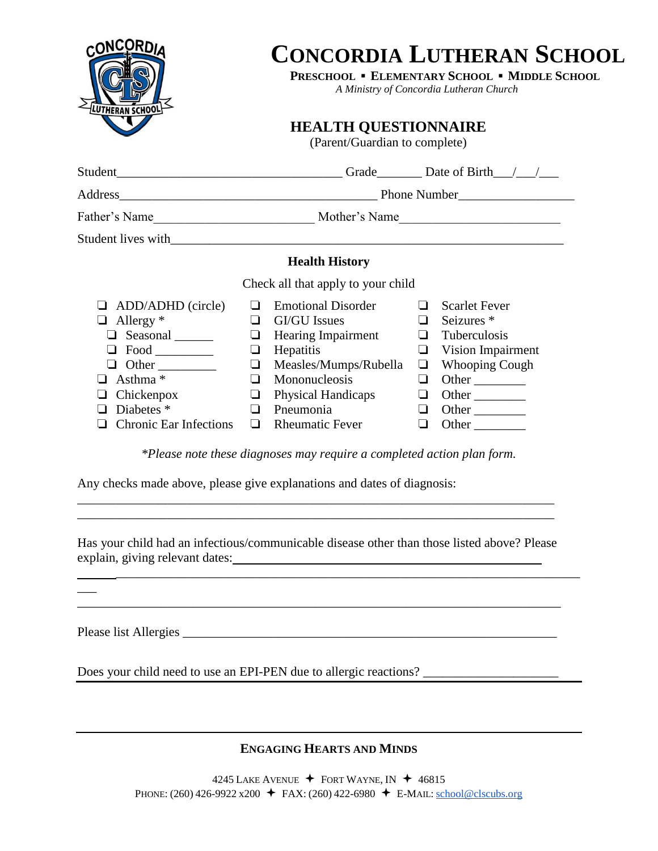

**PRESCHOOL ▪ ELEMENTARY SCHOOL ▪ MIDDLE SCHOOL**

*A Ministry of Concordia Lutheran Church*

**HEALTH QUESTIONNAIRE**

(Parent/Guardian to complete)

|                                                                                                                                                                    |                                                       |                                                                                                                                                                                                          |                                                     | Grade $\Box$ Date of Birth $\Box$                                                                                                                             |
|--------------------------------------------------------------------------------------------------------------------------------------------------------------------|-------------------------------------------------------|----------------------------------------------------------------------------------------------------------------------------------------------------------------------------------------------------------|-----------------------------------------------------|---------------------------------------------------------------------------------------------------------------------------------------------------------------|
|                                                                                                                                                                    |                                                       |                                                                                                                                                                                                          |                                                     | Phone Number                                                                                                                                                  |
| Father's Name                                                                                                                                                      |                                                       |                                                                                                                                                                                                          |                                                     | Mother's Name                                                                                                                                                 |
|                                                                                                                                                                    |                                                       |                                                                                                                                                                                                          |                                                     |                                                                                                                                                               |
|                                                                                                                                                                    |                                                       | <b>Health History</b>                                                                                                                                                                                    |                                                     |                                                                                                                                                               |
|                                                                                                                                                                    |                                                       | Check all that apply to your child                                                                                                                                                                       |                                                     |                                                                                                                                                               |
| ADD/ADHD (circle)<br>Allergy $*$<br>⊔<br>Seasonal _______<br>ப<br>Other<br>- 1<br>Asthma <sup>*</sup><br>Chickenpox<br>Diabetes *<br><b>Chronic Ear Infections</b> | l 1<br>⊔<br>⊔<br>⊔<br><b>1</b><br>ப<br>$\blacksquare$ | <b>Emotional Disorder</b><br><b>GI/GU</b> Issues<br><b>Hearing Impairment</b><br>Hepatitis<br>Measles/Mumps/Rubella<br>Mononucleosis<br><b>Physical Handicaps</b><br>Pneumonia<br><b>Rheumatic Fever</b> | ப<br>$\Box$<br>❏<br>$\Box$<br>⊔<br>❏<br>$\Box$<br>❏ | <b>Scarlet Fever</b><br>Seizures <sup>*</sup><br>$\Box$ Tuberculosis<br><b>Vision Impairment</b><br><b>Whooping Cough</b><br>Other<br>Other<br>Other<br>Other |

*\*Please note these diagnoses may require a completed action plan form.*

Any checks made above, please give explanations and dates of diagnosis:

Has your child had an infectious/communicable disease other than those listed above? Please explain, giving relevant dates:

\_\_\_\_\_\_\_\_\_\_\_\_\_\_\_\_\_\_\_\_\_\_\_\_\_\_\_\_\_\_\_\_\_\_\_\_\_\_\_\_\_\_\_\_\_\_\_\_\_\_\_\_\_\_\_\_\_\_\_\_\_\_\_\_\_\_\_\_\_\_\_\_

\_\_\_\_\_\_\_\_\_\_\_\_\_\_\_\_\_\_\_\_\_\_\_\_\_\_\_\_\_\_\_\_\_\_\_\_\_\_\_\_\_\_\_\_\_\_\_\_\_\_\_\_\_\_\_\_\_\_\_\_\_\_\_\_\_\_\_\_\_\_\_\_\_\_\_

\_\_\_\_\_\_\_\_\_\_\_\_\_\_\_\_\_\_\_\_\_\_\_\_\_\_\_\_\_\_\_\_\_\_\_\_\_\_\_\_\_\_\_\_\_\_\_\_\_\_\_\_\_\_\_\_\_\_\_\_\_\_\_\_\_\_\_\_\_\_\_\_\_\_ \_\_\_\_\_\_\_\_\_\_\_\_\_\_\_\_\_\_\_\_\_\_\_\_\_\_\_\_\_\_\_\_\_\_\_\_\_\_\_\_\_\_\_\_\_\_\_\_\_\_\_\_\_\_\_\_\_\_\_\_\_\_\_\_\_\_\_\_\_\_\_\_\_\_

Please list Allergies

 $\overline{\phantom{a}}$ 

Does your child need to use an EPI-PEN due to allergic reactions? \_\_\_\_\_\_\_\_\_\_\_\_\_\_\_\_\_\_\_\_\_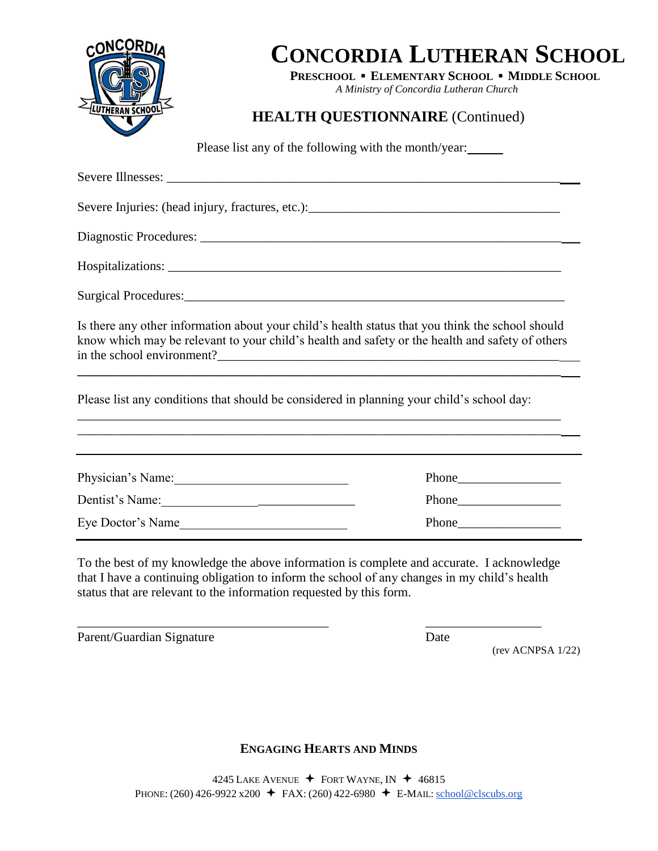

**PRESCHOOL ▪ ELEMENTARY SCHOOL ▪ MIDDLE SCHOOL**

*A Ministry of Concordia Lutheran Church*

## **HEALTH QUESTIONNAIRE** (Continued)

Please list any of the following with the month/year:

Severe Illnesses: Severe Injuries: (head injury, fractures, etc.): \_\_\_\_\_\_\_\_\_\_\_\_\_\_\_\_\_\_\_\_\_\_\_\_\_\_\_\_\_\_\_\_ Diagnostic Procedures: \_\_\_\_\_\_\_\_\_\_\_\_\_\_\_\_\_\_\_\_\_\_\_\_\_\_\_\_\_\_\_\_\_\_\_\_\_\_\_\_\_\_\_\_\_\_\_\_\_\_\_\_\_\_\_\_ Hospitalizations: Surgical Procedures: Is there any other information about your child's health status that you think the school should know which may be relevant to your child's health and safety or the health and safety of others in the school environment? **\_\_\_\_\_\_\_\_\_\_\_\_\_\_\_\_\_\_\_\_\_\_\_\_\_\_\_\_\_\_\_\_\_\_\_\_\_\_\_\_\_\_\_\_\_\_\_\_\_\_\_\_\_\_\_\_\_\_\_\_\_\_\_\_\_\_\_\_\_\_\_\_\_\_\_** Please list any conditions that should be considered in planning your child's school day: \_\_\_\_\_\_\_\_\_\_\_\_\_\_\_\_\_\_\_\_\_\_\_\_\_\_\_\_\_\_\_\_\_\_\_\_\_\_\_\_\_\_\_\_\_\_\_\_\_\_\_\_\_\_\_\_\_\_\_\_\_\_\_\_\_\_\_\_\_\_\_\_\_\_\_ \_\_\_\_\_\_\_\_\_\_\_\_\_\_\_\_\_\_\_\_\_\_\_\_\_\_\_\_\_\_\_\_\_\_\_\_\_\_\_\_\_\_\_\_\_\_\_\_\_\_\_\_\_\_\_\_\_\_\_\_\_\_\_\_\_\_\_\_\_\_\_\_\_\_\_ Physician's Name:\_\_\_\_\_\_\_\_\_\_\_\_\_\_\_\_\_\_\_\_\_\_\_\_\_\_\_ Phone\_\_\_\_\_\_\_\_\_\_\_\_\_\_\_\_ Dentist's Name:\_\_\_\_\_\_\_\_\_\_\_\_\_\_\_\_\_\_\_\_\_\_\_\_\_\_\_\_\_\_ Phone\_\_\_\_\_\_\_\_\_\_\_\_\_\_\_\_ Eye Doctor's Name\_\_\_\_\_\_\_\_\_\_\_\_\_\_\_\_\_\_\_\_\_\_\_\_\_\_ Phone\_\_\_\_\_\_\_\_\_\_\_\_\_\_\_\_

To the best of my knowledge the above information is complete and accurate. I acknowledge that I have a continuing obligation to inform the school of any changes in my child's health status that are relevant to the information requested by this form.

\_\_\_\_\_\_\_\_\_\_\_\_\_\_\_\_\_\_\_\_\_\_\_\_\_\_\_\_\_\_\_\_\_\_\_\_\_\_\_ \_\_\_\_\_\_\_\_\_\_\_\_\_\_\_\_\_\_

Parent/Guardian Signature Date

(rev ACNPSA 1/22)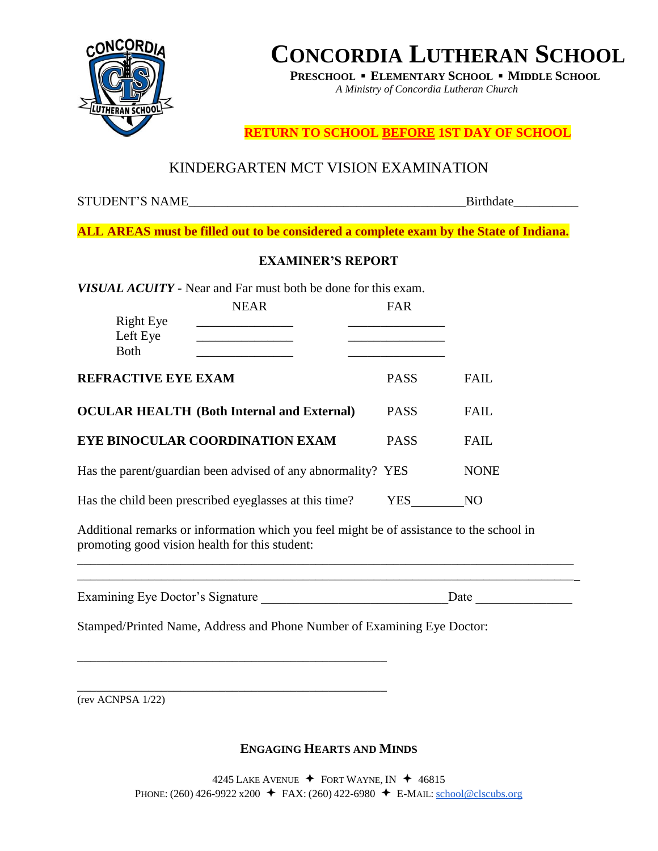

**PRESCHOOL ▪ ELEMENTARY SCHOOL ▪ MIDDLE SCHOOL**

*A Ministry of Concordia Lutheran Church*

**RETURN TO SCHOOL BEFORE 1ST DAY OF SCHOOL**

## KINDERGARTEN MCT VISION EXAMINATION

STUDENT'S NAME FOR EXAMPLE THE SET OF STUDENT'S NAME

**ALL AREAS must be filled out to be considered a complete exam by the State of Indiana.** 

### **EXAMINER'S REPORT**

*VISUAL ACUITY -* Near and Far must both be done for this exam.

|                            | <b>NEAR</b>                                                  | FAR         |             |
|----------------------------|--------------------------------------------------------------|-------------|-------------|
| <b>Right Eye</b>           |                                                              |             |             |
| Left Eye<br><b>Both</b>    |                                                              |             |             |
|                            |                                                              |             |             |
| <b>REFRACTIVE EYE EXAM</b> |                                                              | <b>PASS</b> | <b>FAIL</b> |
|                            | <b>OCULAR HEALTH (Both Internal and External)</b>            | <b>PASS</b> | <b>FAIL</b> |
|                            | EYE BINOCULAR COORDINATION EXAM                              | <b>PASS</b> | <b>FAIL</b> |
|                            | Has the parent/guardian been advised of any abnormality? YES |             | <b>NONE</b> |
|                            | Has the child been prescribed eyeglasses at this time?       | YES         | NO          |

Additional remarks or information which you feel might be of assistance to the school in promoting good vision health for this student:

| Examining Eye Doctor's Signature | )ate |
|----------------------------------|------|

\_\_\_\_\_\_\_\_\_\_\_\_\_\_\_\_\_\_\_\_\_\_\_\_\_\_\_\_\_\_\_\_\_\_\_\_\_\_\_\_\_\_\_\_\_\_\_\_\_\_\_\_\_\_\_\_\_\_\_\_\_\_\_\_\_\_\_\_\_\_\_\_\_\_\_\_\_

Stamped/Printed Name, Address and Phone Number of Examining Eye Doctor:

\_\_\_\_\_\_\_\_\_\_\_\_\_\_\_\_\_\_\_\_\_\_\_\_\_\_\_\_\_\_\_\_\_\_\_\_\_\_\_\_\_\_\_\_\_\_\_\_

\_\_\_\_\_\_\_\_\_\_\_\_\_\_\_\_\_\_\_\_\_\_\_\_\_\_\_\_\_\_\_\_\_\_\_\_\_\_\_\_\_\_\_\_\_\_\_\_ (rev ACNPSA 1/22)

### **ENGAGING HEARTS AND MINDS**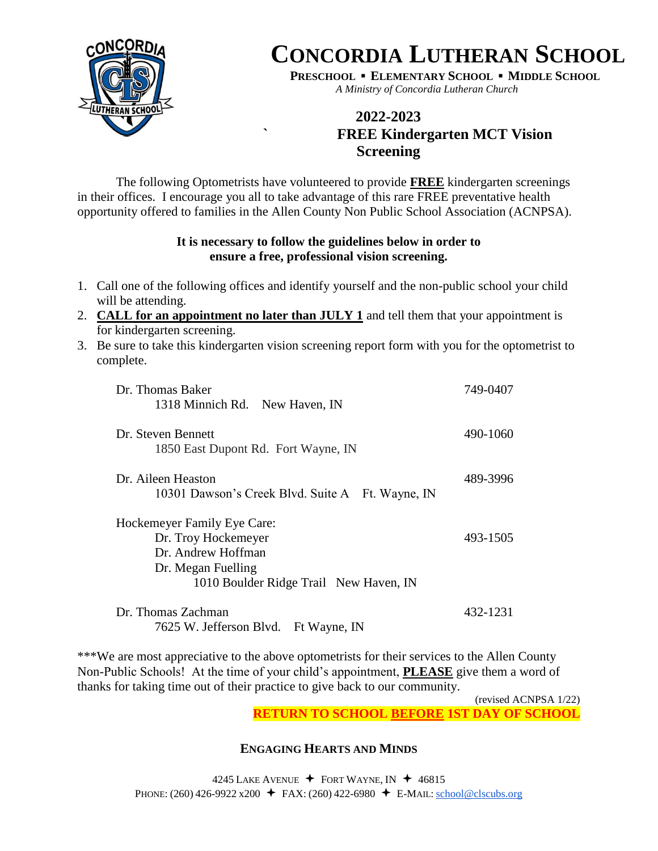

**PRESCHOOL ▪ ELEMENTARY SCHOOL ▪ MIDDLE SCHOOL** *A Ministry of Concordia Lutheran Church*

## **2022-2023 ` FREE Kindergarten MCT Vision Screening**

The following Optometrists have volunteered to provide **FREE** kindergarten screenings in their offices. I encourage you all to take advantage of this rare FREE preventative health opportunity offered to families in the Allen County Non Public School Association (ACNPSA).

### **It is necessary to follow the guidelines below in order to ensure a free, professional vision screening.**

- 1. Call one of the following offices and identify yourself and the non-public school your child will be attending.
- 2. **CALL for an appointment no later than JULY 1** and tell them that your appointment is for kindergarten screening.
- 3. Be sure to take this kindergarten vision screening report form with you for the optometrist to complete.

| Dr. Thomas Baker                                 | 749-0407 |
|--------------------------------------------------|----------|
| 1318 Minnich Rd. New Haven, IN                   |          |
| Dr. Steven Bennett                               | 490-1060 |
| 1850 East Dupont Rd. Fort Wayne, IN              |          |
| Dr. Aileen Heaston                               | 489-3996 |
| 10301 Dawson's Creek Blvd. Suite A Ft. Wayne, IN |          |
| Hockemeyer Family Eye Care:                      |          |
| Dr. Troy Hockemeyer                              | 493-1505 |
| Dr. Andrew Hoffman                               |          |
| Dr. Megan Fuelling                               |          |
| 1010 Boulder Ridge Trail New Haven, IN           |          |
| Dr. Thomas Zachman                               | 432-1231 |
| 7625 W. Jefferson Blvd. Ft Wayne, IN             |          |

\*\*\*We are most appreciative to the above optometrists for their services to the Allen County Non-Public Schools! At the time of your child's appointment, **PLEASE** give them a word of thanks for taking time out of their practice to give back to our community.

> (revised ACNPSA 1/22) **RETURN TO SCHOOL BEFORE 1ST DAY OF SCHOOL**

### **ENGAGING HEARTS AND MINDS**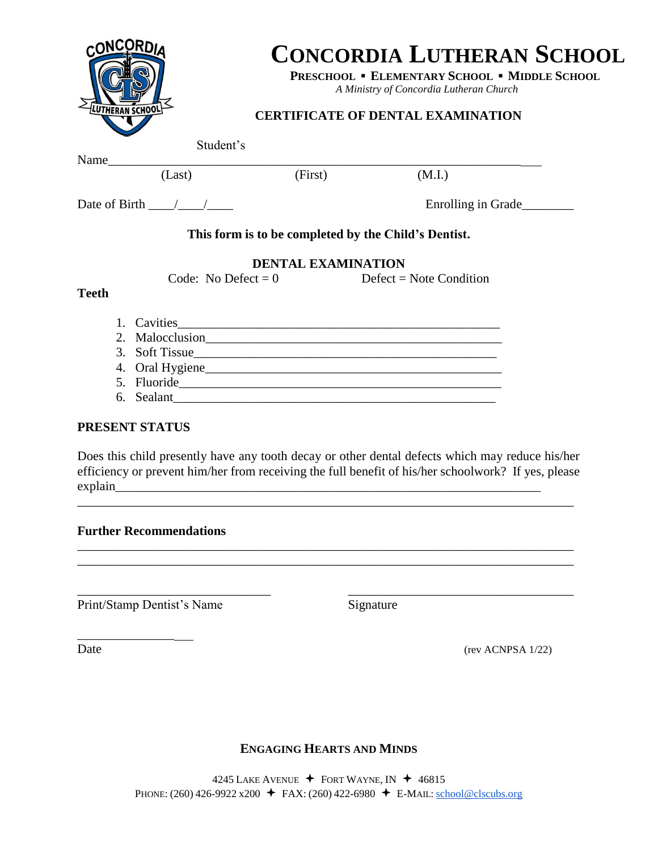| <b>CONCORDI</b>                    |           | <b>CONCORDIA LUTHERAN SCHOOL</b><br>PRESCHOOL . ELEMENTARY SCHOOL . MIDDLE SCHOOL<br>A Ministry of Concordia Lutheran Church<br><b>CERTIFICATE OF DENTAL EXAMINATION</b> |                    |
|------------------------------------|-----------|--------------------------------------------------------------------------------------------------------------------------------------------------------------------------|--------------------|
|                                    | Student's |                                                                                                                                                                          |                    |
| Name                               |           |                                                                                                                                                                          |                    |
| (Last)                             | (First)   | (M.I.)                                                                                                                                                                   |                    |
| Date of Birth $\frac{1}{\sqrt{2}}$ |           |                                                                                                                                                                          | Enrolling in Grade |
|                                    |           | This form is to be completed by the Child's Dentist.                                                                                                                     |                    |
|                                    |           | <b>DENTAL EXAMINATION</b>                                                                                                                                                |                    |
|                                    |           | Code: No Defect = $0$ Defect = Note Condition                                                                                                                            |                    |
| <b>Teeth</b>                       |           |                                                                                                                                                                          |                    |
|                                    |           |                                                                                                                                                                          |                    |
|                                    |           | 2. Malocclusion                                                                                                                                                          |                    |
| Soft Tissue<br>3.                  |           |                                                                                                                                                                          |                    |

4. Oral Hygiene\_\_\_\_\_\_\_\_\_\_\_\_\_\_\_\_\_\_\_\_\_\_\_\_\_\_\_\_\_\_\_\_\_\_\_\_\_\_\_\_\_\_\_\_\_\_ 5. Fluoride\_\_\_\_\_\_\_\_\_\_\_\_\_\_\_\_\_\_\_\_\_\_\_\_\_\_\_\_\_\_\_\_\_\_\_\_\_\_\_\_\_\_\_\_\_\_\_\_\_\_ 6. Sealant\_\_\_\_\_\_\_\_\_\_\_\_\_\_\_\_\_\_\_\_\_\_\_\_\_\_\_\_\_\_\_\_\_\_\_\_\_\_\_\_\_\_\_\_\_\_\_\_\_\_

explain

Does this child presently have any tooth decay or other dental defects which may reduce his/her efficiency or prevent him/her from receiving the full benefit of his/her schoolwork? If yes, please

\_\_\_\_\_\_\_\_\_\_\_\_\_\_\_\_\_\_\_\_\_\_\_\_\_\_\_\_\_\_ \_\_\_\_\_\_\_\_\_\_\_\_\_\_\_\_\_\_\_\_\_\_\_\_\_\_\_\_\_\_\_\_\_\_\_

## \_\_\_\_\_\_\_\_\_\_\_\_\_\_\_\_\_\_\_\_\_\_\_\_\_\_\_\_\_\_\_\_\_\_\_\_\_\_\_\_\_\_\_\_\_\_\_\_\_\_\_\_\_\_\_\_\_\_\_\_\_\_\_\_\_\_\_\_\_\_\_\_\_\_\_\_\_

**Further Recommendations** \_\_\_\_\_\_\_\_\_\_\_\_\_\_\_\_\_\_\_\_\_\_\_\_\_\_\_\_\_\_\_\_\_\_\_\_\_\_\_\_\_\_\_\_\_\_\_\_\_\_\_\_\_\_\_\_\_\_\_\_\_\_\_\_\_\_\_\_\_\_\_\_\_\_\_\_\_

**PRESENT STATUS**

Print/Stamp Dentist's Name Signature

\_\_\_\_\_\_\_\_\_\_\_\_\_\_\_

Date (rev ACNPSA 1/22)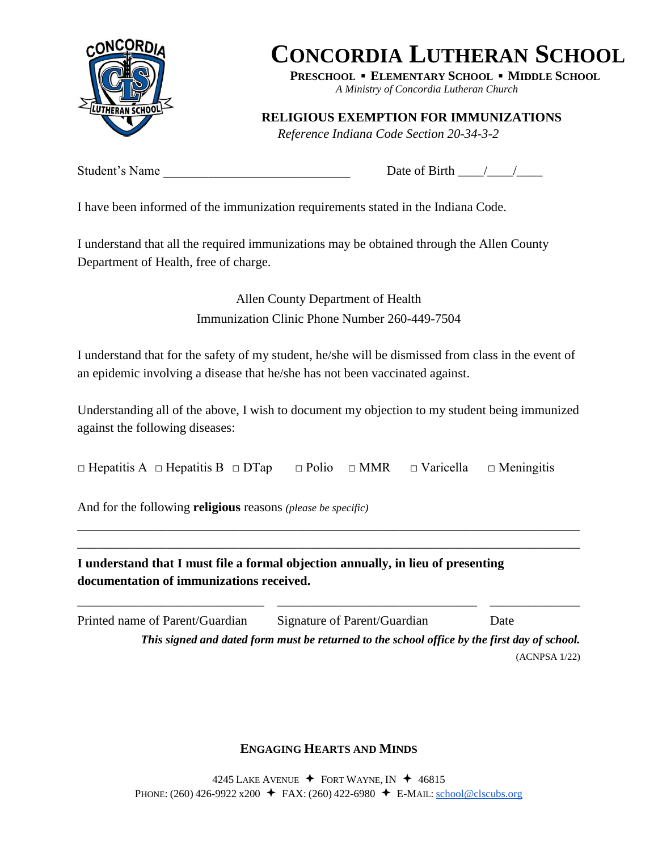

**PRESCHOOL ▪ ELEMENTARY SCHOOL ▪ MIDDLE SCHOOL**

*A Ministry of Concordia Lutheran Church*

**RELIGIOUS EXEMPTION FOR IMMUNIZATIONS**

*Reference Indiana Code Section 20-34-3-2*

Student's Name \_\_\_\_\_\_\_\_\_\_\_\_\_\_\_\_\_\_\_\_\_\_\_\_\_\_\_\_\_ Date of Birth \_\_\_\_/\_\_\_\_/\_\_\_\_

I have been informed of the immunization requirements stated in the Indiana Code.

I understand that all the required immunizations may be obtained through the Allen County Department of Health, free of charge.

> Allen County Department of Health Immunization Clinic Phone Number 260-449-7504

I understand that for the safety of my student, he/she will be dismissed from class in the event of an epidemic involving a disease that he/she has not been vaccinated against.

Understanding all of the above, I wish to document my objection to my student being immunized against the following diseases:

\_\_\_\_\_\_\_\_\_\_\_\_\_\_\_\_\_\_\_\_\_\_\_\_\_\_\_\_\_\_\_\_\_\_\_\_\_\_\_\_\_\_\_\_\_\_\_\_\_\_\_\_\_\_\_\_\_\_\_\_\_\_\_\_\_\_\_\_\_\_\_\_\_\_\_\_\_\_ \_\_\_\_\_\_\_\_\_\_\_\_\_\_\_\_\_\_\_\_\_\_\_\_\_\_\_\_\_\_\_\_\_\_\_\_\_\_\_\_\_\_\_\_\_\_\_\_\_\_\_\_\_\_\_\_\_\_\_\_\_\_\_\_\_\_\_\_\_\_\_\_\_\_\_\_\_\_

□ Hepatitis A □ Hepatitis B □ DTap □ Polio □ MMR □ Varicella □ Meningitis

And for the following **religious** reasons *(please be specific)* 

**I understand that I must file a formal objection annually, in lieu of presenting documentation of immunizations received.**

| Printed name of Parent/Guardian | Signature of Parent/Guardian                                                                 | Date          |
|---------------------------------|----------------------------------------------------------------------------------------------|---------------|
|                                 | This signed and dated form must be returned to the school office by the first day of school. |               |
|                                 |                                                                                              | (ACNPSA 1/22) |

\_\_\_\_\_\_\_\_\_\_\_\_\_\_\_\_\_\_\_\_\_\_\_\_\_\_\_\_\_ \_\_\_\_\_\_\_\_\_\_\_\_\_\_\_\_\_\_\_\_\_\_\_\_\_\_\_\_\_\_\_ \_\_\_\_\_\_\_\_\_\_\_\_\_\_

### **ENGAGING HEARTS AND MINDS**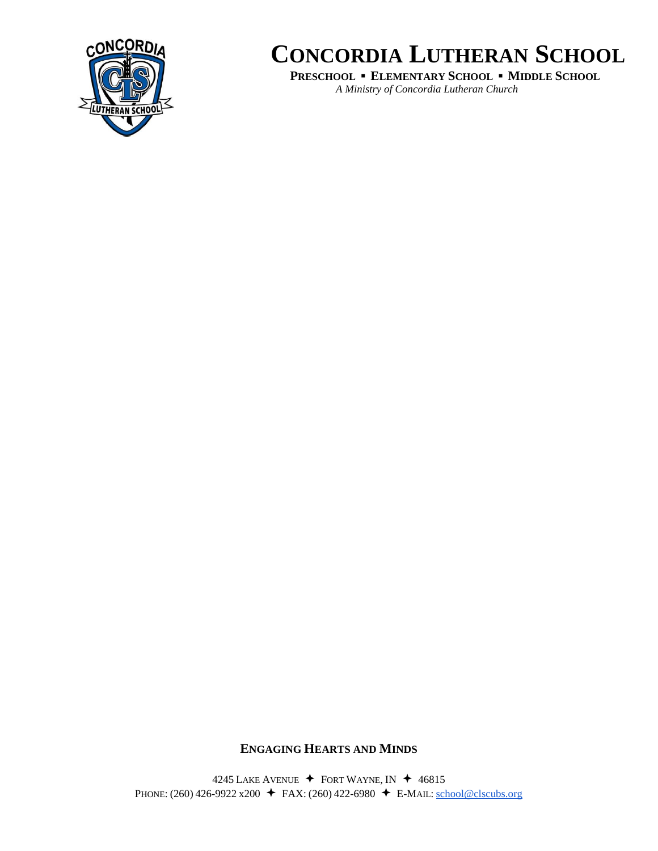

**PRESCHOOL ▪ ELEMENTARY SCHOOL ▪ MIDDLE SCHOOL** *A Ministry of Concordia Lutheran Church*

#### **ENGAGING HEARTS AND MINDS**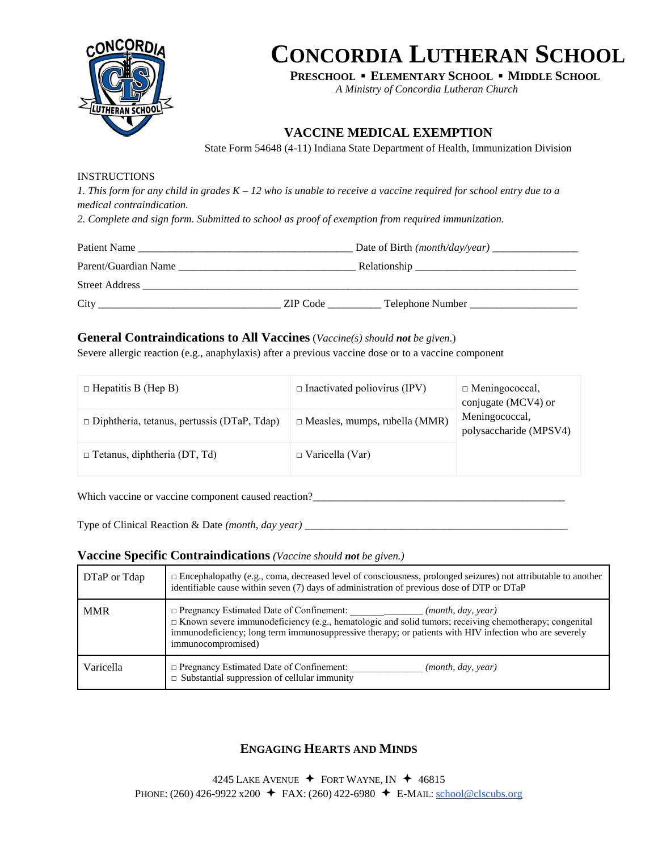

**PRESCHOOL ▪ ELEMENTARY SCHOOL ▪ MIDDLE SCHOOL**

*A Ministry of Concordia Lutheran Church*

### **VACCINE MEDICAL EXEMPTION**

State Form 54648 (4-11) Indiana State Department of Health, Immunization Division

#### INSTRUCTIONS

*1. This form for any child in grades K – 12 who is unable to receive a vaccine required for school entry due to a medical contraindication.* 

*2. Complete and sign form. Submitted to school as proof of exemption from required immunization.* 

| Patient Name                                                         | Date of Birth $(month/day/year)$ |
|----------------------------------------------------------------------|----------------------------------|
| Parent/Guardian Name                                                 |                                  |
| <b>Street Address</b><br><u> 1980 - Jan Samuel Barbara, martin a</u> |                                  |
| City<br>ZIP Code                                                     | Telephone Number                 |

#### **General Contraindications to All Vaccines** (*Vaccine(s) should not be given*.)

Severe allergic reaction (e.g., anaphylaxis) after a previous vaccine dose or to a vaccine component

| $\Box$ Hepatitis B (Hep B)                         | $\Box$ Inactivated poliovirus (IPV)  | $\Box$ Meningococcal,<br>conjugate (MCV4) or |
|----------------------------------------------------|--------------------------------------|----------------------------------------------|
| $\Box$ Diphtheria, tetanus, pertussis (DTaP, Tdap) | $\Box$ Measles, mumps, rubella (MMR) | Meningococcal,<br>polysaccharide (MPSV4)     |
| $\Box$ Tetanus, diphtheria (DT, Td)                | $\Box$ Varicella (Var)               |                                              |

Which vaccine or vaccine component caused reaction?\_\_\_\_\_\_\_\_\_\_\_\_\_\_\_\_\_\_\_\_\_\_\_\_\_\_\_\_\_

Type of Clinical Reaction & Date *(month, day year)* \_\_\_\_\_\_\_\_\_\_\_\_\_\_\_\_\_\_\_\_\_\_\_\_\_\_\_\_\_\_\_\_\_\_\_\_\_\_\_\_\_\_\_\_\_\_\_\_\_

#### **Vaccine Specific Contraindications** *(Vaccine should not be given.)*

| DTaP or Tdap | $\Box$ Encephalopathy (e.g., coma, decreased level of consciousness, prolonged seizures) not attributable to another<br>identifiable cause within seven (7) days of administration of previous dose of DTP or DTaP                                                                                                    |
|--------------|-----------------------------------------------------------------------------------------------------------------------------------------------------------------------------------------------------------------------------------------------------------------------------------------------------------------------|
| <b>MMR</b>   | $\Box$ Pregnancy Estimated Date of Confinement:<br>(month, day, year)<br>$\Box$ Known severe immunodeficiency (e.g., hematologic and solid tumors; receiving chemotherapy; congenital<br>immunodeficiency; long term immunosuppressive therapy; or patients with HIV infection who are severely<br>immunocompromised) |
| Varicella    | $\Box$ Pregnancy Estimated Date of Confinement:<br>(month, day, year)<br>$\Box$ Substantial suppression of cellular immunity                                                                                                                                                                                          |

### **ENGAGING HEARTS AND MINDS**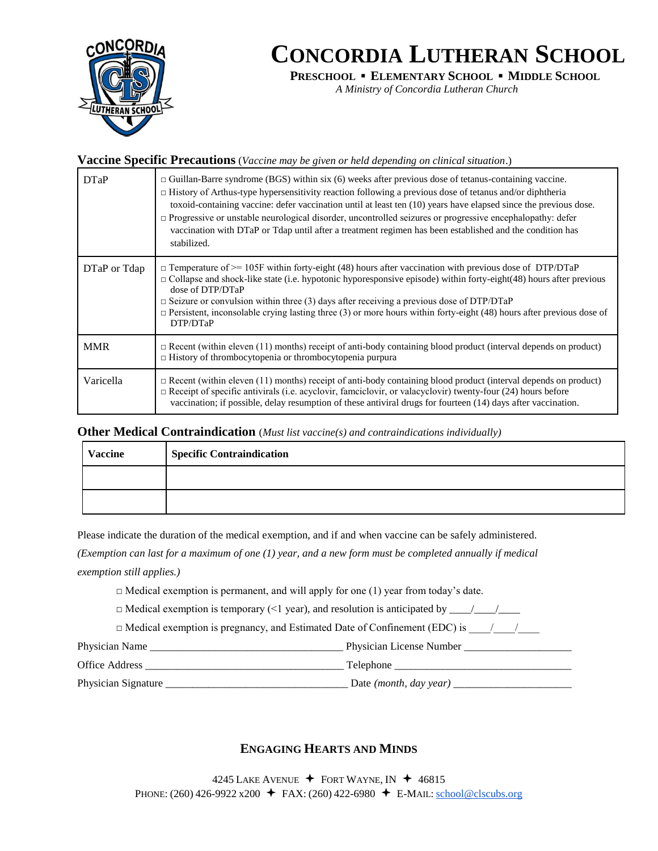

**PRESCHOOL ▪ ELEMENTARY SCHOOL ▪ MIDDLE SCHOOL**

*A Ministry of Concordia Lutheran Church*

#### **Vaccine Specific Precautions** (*Vaccine may be given or held depending on clinical situation*.)

| DTaP         | $\Box$ Guillan-Barre syndrome (BGS) within six (6) weeks after previous dose of tetanus-containing vaccine.<br>$\Box$ History of Arthus-type hypersensitivity reaction following a previous dose of tetanus and/or diphtheria<br>toxoid-containing vaccine: defer vaccination until at least ten (10) years have elapsed since the previous dose.<br>$\Box$ Progressive or unstable neurological disorder, uncontrolled seizures or progressive encephalopathy: defer<br>vaccination with DTaP or Tdap until after a treatment regimen has been established and the condition has<br>stabilized. |
|--------------|--------------------------------------------------------------------------------------------------------------------------------------------------------------------------------------------------------------------------------------------------------------------------------------------------------------------------------------------------------------------------------------------------------------------------------------------------------------------------------------------------------------------------------------------------------------------------------------------------|
| DTaP or Tdap | $\Box$ Temperature of $\geq$ 105F within forty-eight (48) hours after vaccination with previous dose of DTP/DTaP<br>$\Box$ Collapse and shock-like state (i.e. hypotonic hyporesponsive episode) within forty-eight(48) hours after previous<br>dose of DTP/DTaP<br>$\Box$ Seizure or convulsion within three (3) days after receiving a previous dose of DTP/DTaP<br>$\Box$ Persistent, inconsolable crying lasting three (3) or more hours within forty-eight (48) hours after previous dose of<br>DTP/DTaP                                                                                    |
| <b>MMR</b>   | $\Box$ Recent (within eleven (11) months) receipt of anti-body containing blood product (interval depends on product)<br>$\Box$ History of thrombocytopenia or thrombocytopenia purpura                                                                                                                                                                                                                                                                                                                                                                                                          |
| Varicella    | $\Box$ Recent (within eleven (11) months) receipt of anti-body containing blood product (interval depends on product)<br>$\Box$ Receipt of specific antivirals (i.e. acyclovir, famciclovir, or valacyclovir) twenty-four (24) hours before<br>vaccination; if possible, delay resumption of these antiviral drugs for fourteen (14) days after vaccination.                                                                                                                                                                                                                                     |

#### **Other Medical Contraindication** (*Must list vaccine(s) and contraindications individually)*

| Vaccine | <b>Specific Contraindication</b> |
|---------|----------------------------------|
|         |                                  |
|         |                                  |

Please indicate the duration of the medical exemption, and if and when vaccine can be safely administered.

*(Exemption can last for a maximum of one (1) year, and a new form must be completed annually if medical exemption still applies.)* 

 $\Box$  Medical exemption is permanent, and will apply for one (1) year from today's date.

□ Medical exemption is temporary (<1 year), and resolution is anticipated by \_\_\_\_/\_\_\_\_/\_\_\_\_

 $\Box$  Medical exemption is pregnancy, and Estimated Date of Confinement (EDC) is  $\Box$ 

Physician Name **The Physician License Number Physician License Number**  $\blacksquare$ 

Office Address \_\_\_\_\_\_\_\_\_\_\_\_\_\_\_\_\_\_\_\_\_\_\_\_\_\_\_\_\_\_\_\_\_\_\_\_\_ Telephone \_\_\_\_\_\_\_\_\_\_\_\_\_\_\_\_\_\_\_\_\_\_\_\_\_\_\_\_\_\_\_\_\_

Physician Signature \_\_\_\_\_\_\_\_\_\_\_\_\_\_\_\_\_\_\_\_\_\_\_\_\_\_\_\_\_\_\_\_\_\_ Date *(month, day year)* \_\_\_\_\_\_\_\_\_\_\_\_\_\_\_\_\_\_\_\_\_\_

#### **ENGAGING HEARTS AND MINDS**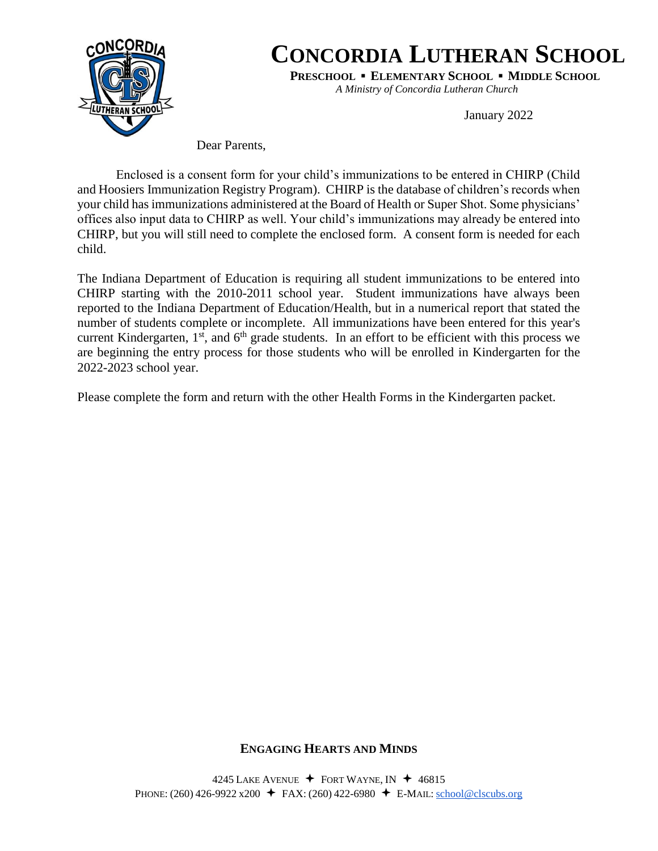

**PRESCHOOL ▪ ELEMENTARY SCHOOL ▪ MIDDLE SCHOOL**

*A Ministry of Concordia Lutheran Church*

January 2022

Dear Parents,

Enclosed is a consent form for your child's immunizations to be entered in CHIRP (Child and Hoosiers Immunization Registry Program). CHIRP is the database of children's records when your child has immunizations administered at the Board of Health or Super Shot. Some physicians' offices also input data to CHIRP as well. Your child's immunizations may already be entered into CHIRP, but you will still need to complete the enclosed form. A consent form is needed for each child.

The Indiana Department of Education is requiring all student immunizations to be entered into CHIRP starting with the 2010-2011 school year. Student immunizations have always been reported to the Indiana Department of Education/Health, but in a numerical report that stated the number of students complete or incomplete. All immunizations have been entered for this year's current Kindergarten,  $1<sup>st</sup>$ , and  $6<sup>th</sup>$  grade students. In an effort to be efficient with this process we are beginning the entry process for those students who will be enrolled in Kindergarten for the 2022-2023 school year.

Please complete the form and return with the other Health Forms in the Kindergarten packet.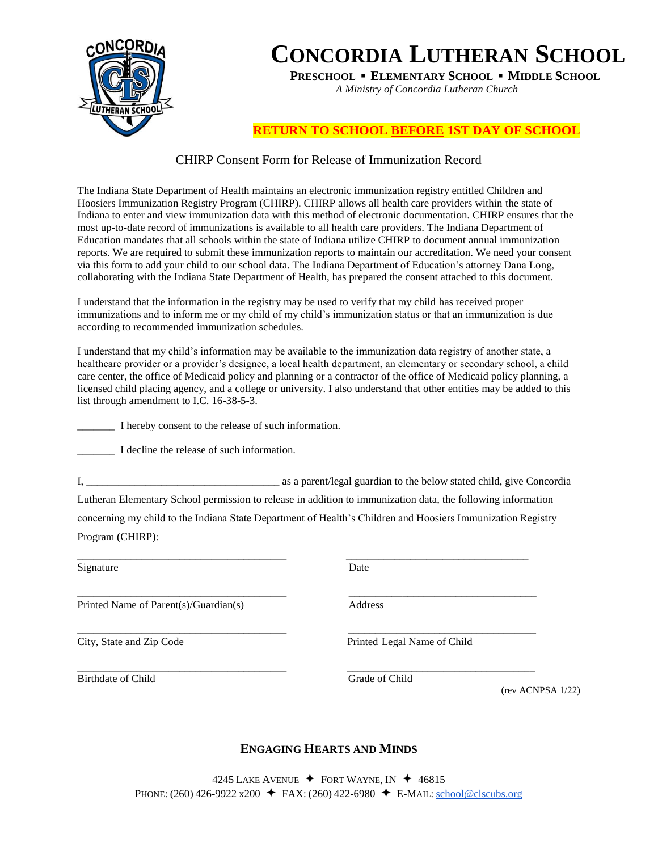

**PRESCHOOL ▪ ELEMENTARY SCHOOL ▪ MIDDLE SCHOOL**

*A Ministry of Concordia Lutheran Church*

### **RETURN TO SCHOOL BEFORE 1ST DAY OF SCHOOL**

#### CHIRP Consent Form for Release of Immunization Record

The Indiana State Department of Health maintains an electronic immunization registry entitled Children and Hoosiers Immunization Registry Program (CHIRP). CHIRP allows all health care providers within the state of Indiana to enter and view immunization data with this method of electronic documentation. CHIRP ensures that the most up-to-date record of immunizations is available to all health care providers. The Indiana Department of Education mandates that all schools within the state of Indiana utilize CHIRP to document annual immunization reports. We are required to submit these immunization reports to maintain our accreditation. We need your consent via this form to add your child to our school data. The Indiana Department of Education's attorney Dana Long, collaborating with the Indiana State Department of Health, has prepared the consent attached to this document.

I understand that the information in the registry may be used to verify that my child has received proper immunizations and to inform me or my child of my child's immunization status or that an immunization is due according to recommended immunization schedules.

I understand that my child's information may be available to the immunization data registry of another state, a healthcare provider or a provider's designee, a local health department, an elementary or secondary school, a child care center, the office of Medicaid policy and planning or a contractor of the office of Medicaid policy planning, a licensed child placing agency, and a college or university. I also understand that other entities may be added to this list through amendment to I.C. 16-38-5-3.

\_\_\_\_\_\_\_ I hereby consent to the release of such information.

I decline the release of such information.

I, \_\_\_\_\_\_\_\_\_\_\_\_\_\_\_\_\_\_\_\_\_\_\_\_\_\_\_\_\_\_\_\_\_\_\_\_ as a parent/legal guardian to the below stated child, give Concordia Lutheran Elementary School permission to release in addition to immunization data, the following information concerning my child to the Indiana State Department of Health's Children and Hoosiers Immunization Registry Program (CHIRP):

\_\_\_\_\_\_\_\_\_\_\_\_\_\_\_\_\_\_\_\_\_\_\_\_\_\_\_\_\_\_\_\_\_\_\_\_\_\_\_ \_\_\_\_\_\_\_\_\_\_\_\_\_\_\_\_\_\_\_\_\_\_\_\_\_\_\_\_\_\_\_\_\_\_

\_\_\_\_\_\_\_\_\_\_\_\_\_\_\_\_\_\_\_\_\_\_\_\_\_\_\_\_\_\_\_\_\_\_\_\_\_\_\_ \_\_\_\_\_\_\_\_\_\_\_\_\_\_\_\_\_\_\_\_\_\_\_\_\_\_\_\_\_\_\_\_\_\_\_

Signature Date

Printed Name of Parent(s)/Guardian(s) Address

\_\_\_\_\_\_\_\_\_\_\_\_\_\_\_\_\_\_\_\_\_\_\_\_\_\_\_\_\_\_\_\_\_\_\_\_\_\_\_ \_\_\_\_\_\_\_\_\_\_\_\_\_\_\_\_\_\_\_\_\_\_\_\_\_\_\_\_\_\_\_\_\_\_\_ Birthdate of Child Grade of Child

\_\_\_\_\_\_\_\_\_\_\_\_\_\_\_\_\_\_\_\_\_\_\_\_\_\_\_\_\_\_\_\_\_\_\_\_\_\_\_ \_\_\_\_\_\_\_\_\_\_\_\_\_\_\_\_\_\_\_\_\_\_\_\_\_\_\_\_\_\_\_\_\_\_\_

City, State and Zip Code Printed Legal Name of Child

(rev ACNPSA 1/22)

#### **ENGAGING HEARTS AND MINDS**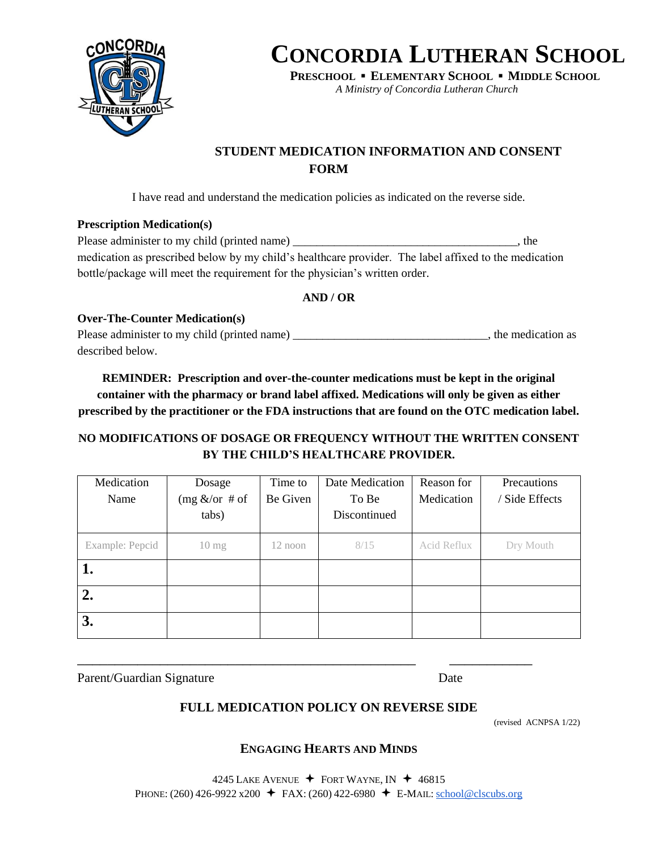

**PRESCHOOL ▪ ELEMENTARY SCHOOL ▪ MIDDLE SCHOOL**

*A Ministry of Concordia Lutheran Church*

### **STUDENT MEDICATION INFORMATION AND CONSENT FORM**

I have read and understand the medication policies as indicated on the reverse side.

#### **Prescription Medication(s)**

| Please administer to my child (printed name)                                                          | the |
|-------------------------------------------------------------------------------------------------------|-----|
| medication as prescribed below by my child's healthcare provider. The label affixed to the medication |     |
| bottle/package will meet the requirement for the physician's written order.                           |     |

#### **AND / OR**

**Over-The-Counter Medication(s)** Please administer to my child (printed name) \_\_\_\_\_\_\_\_\_\_\_\_\_\_\_\_\_\_\_\_\_\_\_\_\_\_\_\_\_\_\_\_\_\_, the medication as described below.

**REMINDER: Prescription and over-the-counter medications must be kept in the original container with the pharmacy or brand label affixed. Medications will only be given as either prescribed by the practitioner or the FDA instructions that are found on the OTC medication label.**

### **NO MODIFICATIONS OF DOSAGE OR FREQUENCY WITHOUT THE WRITTEN CONSENT BY THE CHILD'S HEALTHCARE PROVIDER.**

| Medication      | Dosage           | Time to   | Date Medication | Reason for  | Precautions    |
|-----------------|------------------|-----------|-----------------|-------------|----------------|
| Name            | $(mg <$ /or # of | Be Given  | To Be           | Medication  | / Side Effects |
|                 | tabs)            |           | Discontinued    |             |                |
| Example: Pepcid | $10 \text{ mg}$  | $12$ noon | 8/15            | Acid Reflux | Dry Mouth      |
| 1.              |                  |           |                 |             |                |
| 2.              |                  |           |                 |             |                |
| 3.              |                  |           |                 |             |                |

Parent/Guardian Signature Date

### **FULL MEDICATION POLICY ON REVERSE SIDE**

\_\_\_\_\_\_\_\_\_\_\_\_\_\_\_\_\_\_\_\_\_\_\_\_\_\_\_\_\_\_\_\_\_\_\_\_\_\_\_\_\_\_\_\_\_ \_\_\_\_\_\_\_\_\_\_\_

(revised ACNPSA 1/22)

#### **ENGAGING HEARTS AND MINDS**